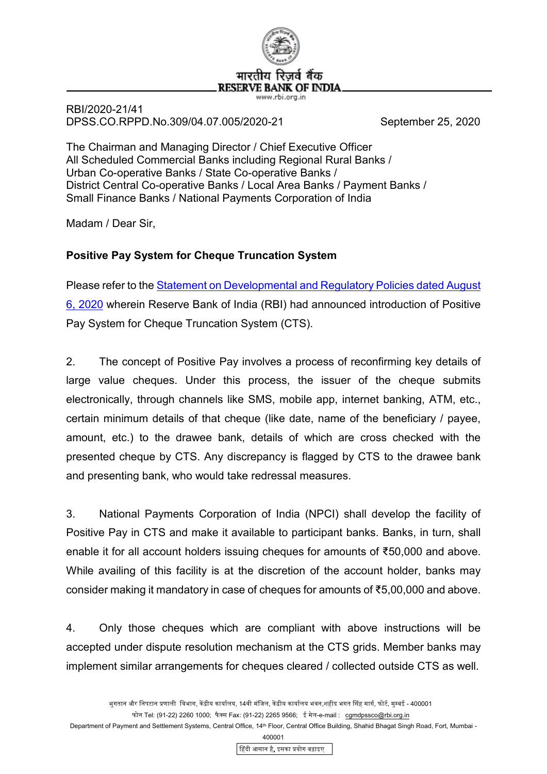

RBI/2020-21/41 DPSS.CO.RPPD.No.309/04.07.005/2020-21 September 25, 2020

The Chairman and Managing Director / Chief Executive Officer All Scheduled Commercial Banks including Regional Rural Banks / Urban Co-operative Banks / State Co-operative Banks / District Central Co-operative Banks / Local Area Banks / Payment Banks / Small Finance Banks / National Payments Corporation of India

Madam / Dear Sir,

## **Positive Pay System for Cheque Truncation System**

Please refer to the [Statement on Developmental and Regulatory Policies dated August](https://www.rbi.org.in/Scripts/BS_PressReleaseDisplay.aspx?prid=50176)  [6, 2020](https://www.rbi.org.in/Scripts/BS_PressReleaseDisplay.aspx?prid=50176) wherein Reserve Bank of India (RBI) had announced introduction of Positive Pay System for Cheque Truncation System (CTS).

2. The concept of Positive Pay involves a process of reconfirming key details of large value cheques. Under this process, the issuer of the cheque submits electronically, through channels like SMS, mobile app, internet banking, ATM, etc., certain minimum details of that cheque (like date, name of the beneficiary / payee, amount, etc.) to the drawee bank, details of which are cross checked with the presented cheque by CTS. Any discrepancy is flagged by CTS to the drawee bank and presenting bank, who would take redressal measures.

3. National Payments Corporation of India (NPCI) shall develop the facility of Positive Pay in CTS and make it available to participant banks. Banks, in turn, shall enable it for all account holders issuing cheques for amounts of ₹50,000 and above. While availing of this facility is at the discretion of the account holder, banks may consider making it mandatory in case of cheques for amounts of ₹5,00,000 and above.

4. Only those cheques which are compliant with above instructions will be accepted under dispute resolution mechanism at the CTS grids. Member banks may implement similar arrangements for cheques cleared / collected outside CTS as well.

Department of Payment and Settlement Systems, Central Office, 14<sup>th</sup> Floor, Central Office Building, Shahid Bhagat Singh Road, Fort, Mumbai -

400001